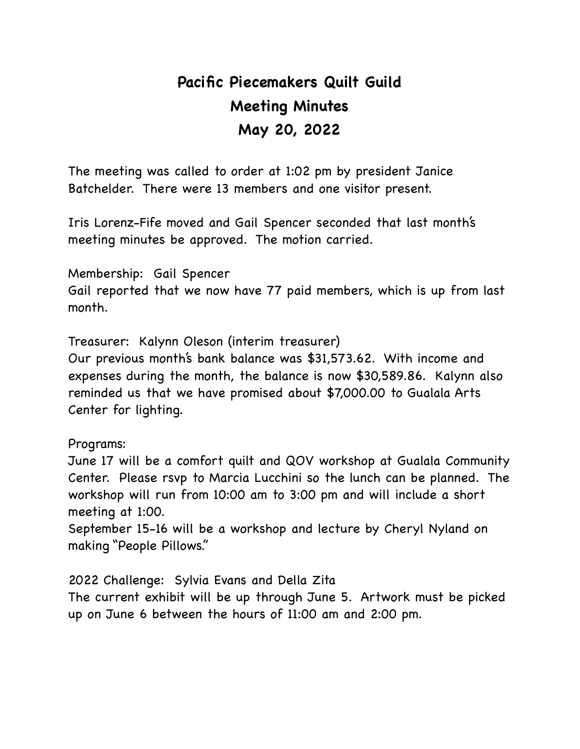# **Pacific Piecemakers Quilt Guild Meeting Minutes May 20, 2022**

The meeting was called to order at 1:02 pm by president Janice Batchelder. There were 13 members and one visitor present.

Iris Lorenz-Fife moved and Gail Spencer seconded that last month's meeting minutes be approved. The motion carried.

Membership: Gail Spencer Gail reported that we now have 77 paid members, which is up from last month.

Treasurer: Kalynn Oleson (interim treasurer)

Our previous month's bank balance was \$31,573.62. With income and expenses during the month, the balance is now \$30,589.86. Kalynn also reminded us that we have promised about \$7,000.00 to Gualala Arts Center for lighting.

Programs:

June 17 will be a comfort quilt and QOV workshop at Gualala Community Center. Please rsvp to Marcia Lucchini so the lunch can be planned. The workshop will run from 10:00 am to 3:00 pm and will include a short meeting at 1:00.

September 15-16 will be a workshop and lecture by Cheryl Nyland on making "People Pillows."

2022 Challenge: Sylvia Evans and Della Zita

The current exhibit will be up through June 5. Artwork must be picked up on June 6 between the hours of 11:00 am and 2:00 pm.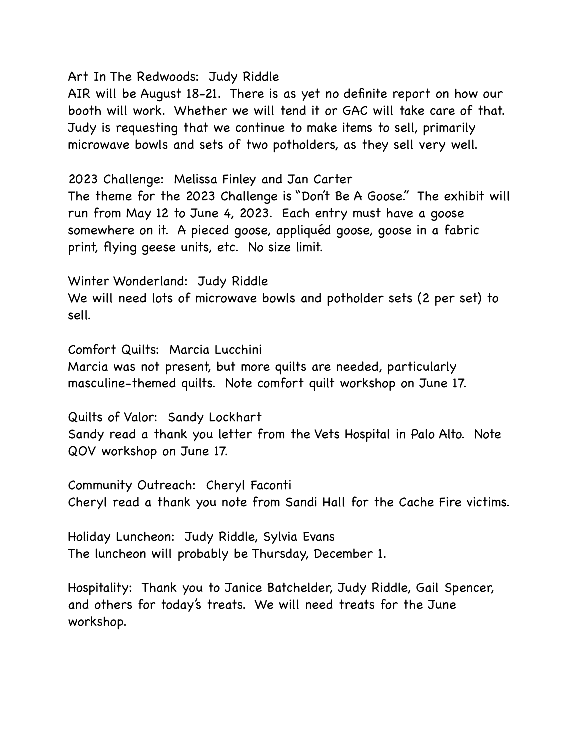#### Art In The Redwoods: Judy Riddle

AIR will be August 18-21. There is as yet no definite report on how our booth will work. Whether we will tend it or GAC will take care of that. Judy is requesting that we continue to make items to sell, primarily microwave bowls and sets of two potholders, as they sell very well.

### 2023 Challenge: Melissa Finley and Jan Carter

The theme for the 2023 Challenge is "Don't Be A Goose." The exhibit will run from May 12 to June 4, 2023. Each entry must have a goose somewhere on it. A pieced goose, appliquéd goose, goose in a fabric print, flying geese units, etc. No size limit.

Winter Wonderland: Judy Riddle

We will need lots of microwave bowls and potholder sets (2 per set) to sell.

Comfort Quilts: Marcia Lucchini Marcia was not present, but more quilts are needed, particularly

masculine-themed quilts. Note comfort quilt workshop on June 17.

Quilts of Valor: Sandy Lockhart

Sandy read a thank you letter from the Vets Hospital in Palo Alto. Note QOV workshop on June 17.

Community Outreach: Cheryl Faconti Cheryl read a thank you note from Sandi Hall for the Cache Fire victims.

Holiday Luncheon: Judy Riddle, Sylvia Evans The luncheon will probably be Thursday, December 1.

Hospitality: Thank you to Janice Batchelder, Judy Riddle, Gail Spencer, and others for today's treats. We will need treats for the June workshop.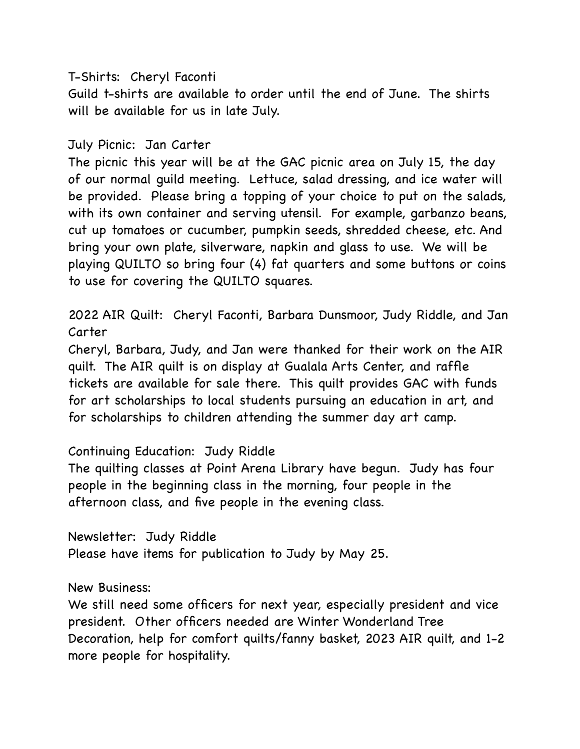### T-Shirts: Cheryl Faconti

Guild t-shirts are available to order until the end of June. The shirts will be available for us in late July.

## July Picnic: Jan Carter

The picnic this year will be at the GAC picnic area on July 15, the day of our normal guild meeting. Lettuce, salad dressing, and ice water will be provided. Please bring a topping of your choice to put on the salads, with its own container and serving utensil. For example, garbanzo beans, cut up tomatoes or cucumber, pumpkin seeds, shredded cheese, etc. And bring your own plate, silverware, napkin and glass to use. We will be playing QUILTO so bring four (4) fat quarters and some buttons or coins to use for covering the QUILTO squares.

2022 AIR Quilt: Cheryl Faconti, Barbara Dunsmoor, Judy Riddle, and Jan Carter

Cheryl, Barbara, Judy, and Jan were thanked for their work on the AIR quilt. The AIR quilt is on display at Gualala Arts Center, and raffle tickets are available for sale there. This quilt provides GAC with funds for art scholarships to local students pursuing an education in art, and for scholarships to children attending the summer day art camp.

### Continuing Education: Judy Riddle

The quilting classes at Point Arena Library have begun. Judy has four people in the beginning class in the morning, four people in the afternoon class, and five people in the evening class.

Newsletter: Judy Riddle Please have items for publication to Judy by May 25.

### New Business:

We still need some officers for next year, especially president and vice president. Other officers needed are Winter Wonderland Tree Decoration, help for comfort quilts/fanny basket, 2023 AIR quilt, and 1-2 more people for hospitality.